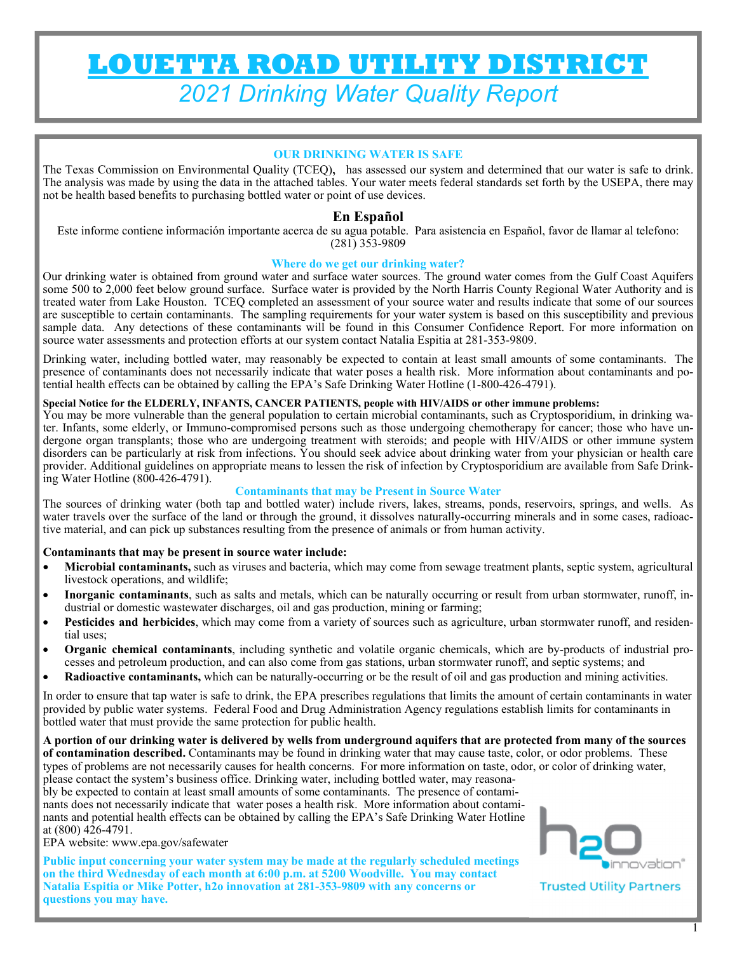# **LOUETTA ROAD UTILITY DISTRICT**  *2021 Drinking Water Quality Report*

## **OUR DRINKING WATER IS SAFE**

The Texas Commission on Environmental Quality (TCEQ), has assessed our system and determined that our water is safe to drink. The analysis was made by using the data in the attached tables. Your water meets federal standards set forth by the USEPA, there may not be health based benefits to purchasing bottled water or point of use devices.

## **En Español**

Este informe contiene información importante acerca de su agua potable. Para asistencia en Español, favor de llamar al telefono: (281) 353-9809

#### **Where do we get our drinking water?**

Our drinking water is obtained from ground water and surface water sources. The ground water comes from the Gulf Coast Aquifers some 500 to 2,000 feet below ground surface. Surface water is provided by the North Harris County Regional Water Authority and is treated water from Lake Houston. TCEQ completed an assessment of your source water and results indicate that some of our sources are susceptible to certain contaminants. The sampling requirements for your water system is based on this susceptibility and previous sample data. Any detections of these contaminants will be found in this Consumer Confidence Report. For more information on source water assessments and protection efforts at our system contact Natalia Espitia at 281-353-9809.

Drinking water, including bottled water, may reasonably be expected to contain at least small amounts of some contaminants. The presence of contaminants does not necessarily indicate that water poses a health risk. More information about contaminants and potential health effects can be obtained by calling the EPA's Safe Drinking Water Hotline (1-800-426-4791).

### **Special Notice for the ELDERLY, INFANTS, CANCER PATIENTS, people with HIV/AIDS or other immune problems:**

You may be more vulnerable than the general population to certain microbial contaminants, such as Cryptosporidium, in drinking water. Infants, some elderly, or Immuno-compromised persons such as those undergoing chemotherapy for cancer; those who have undergone organ transplants; those who are undergoing treatment with steroids; and people with HIV/AIDS or other immune system disorders can be particularly at risk from infections. You should seek advice about drinking water from your physician or health care provider. Additional guidelines on appropriate means to lessen the risk of infection by Cryptosporidium are available from Safe Drinking Water Hotline (800-426-4791).

#### **Contaminants that may be Present in Source Water**

The sources of drinking water (both tap and bottled water) include rivers, lakes, streams, ponds, reservoirs, springs, and wells. As water travels over the surface of the land or through the ground, it dissolves naturally-occurring minerals and in some cases, radioactive material, and can pick up substances resulting from the presence of animals or from human activity.

#### **Contaminants that may be present in source water include:**

- **Microbial contaminants,** such as viruses and bacteria, which may come from sewage treatment plants, septic system, agricultural livestock operations, and wildlife;
- **Inorganic contaminants**, such as salts and metals, which can be naturally occurring or result from urban stormwater, runoff, industrial or domestic wastewater discharges, oil and gas production, mining or farming;
- **Pesticides and herbicides**, which may come from a variety of sources such as agriculture, urban stormwater runoff, and residential uses;
- **Organic chemical contaminants**, including synthetic and volatile organic chemicals, which are by-products of industrial processes and petroleum production, and can also come from gas stations, urban stormwater runoff, and septic systems; and
- **Radioactive contaminants,** which can be naturally-occurring or be the result of oil and gas production and mining activities.

In order to ensure that tap water is safe to drink, the EPA prescribes regulations that limits the amount of certain contaminants in water provided by public water systems. Federal Food and Drug Administration Agency regulations establish limits for contaminants in bottled water that must provide the same protection for public health.

**A portion of our drinking water is delivered by wells from underground aquifers that are protected from many of the sources of contamination described.** Contaminants may be found in drinking water that may cause taste, color, or odor problems. These types of problems are not necessarily causes for health concerns. For more information on taste, odor, or color of drinking water, please contact the system's business office. Drinking water, including bottled water, may reasona-

bly be expected to contain at least small amounts of some contaminants. The presence of contaminants does not necessarily indicate that water poses a health risk. More information about contaminants and potential health effects can be obtained by calling the EPA's Safe Drinking Water Hotline at (800) 426-4791.

EPA website: www.epa.gov/safewater

**Public input concerning your water system may be made at the regularly scheduled meetings on the third Wednesday of each month at 6:00 p.m. at 5200 Woodville. You may contact Natalia Espitia or Mike Potter, h2o innovation at 281-353-9809 with any concerns or questions you may have.** 



**Trusted Utility Partners**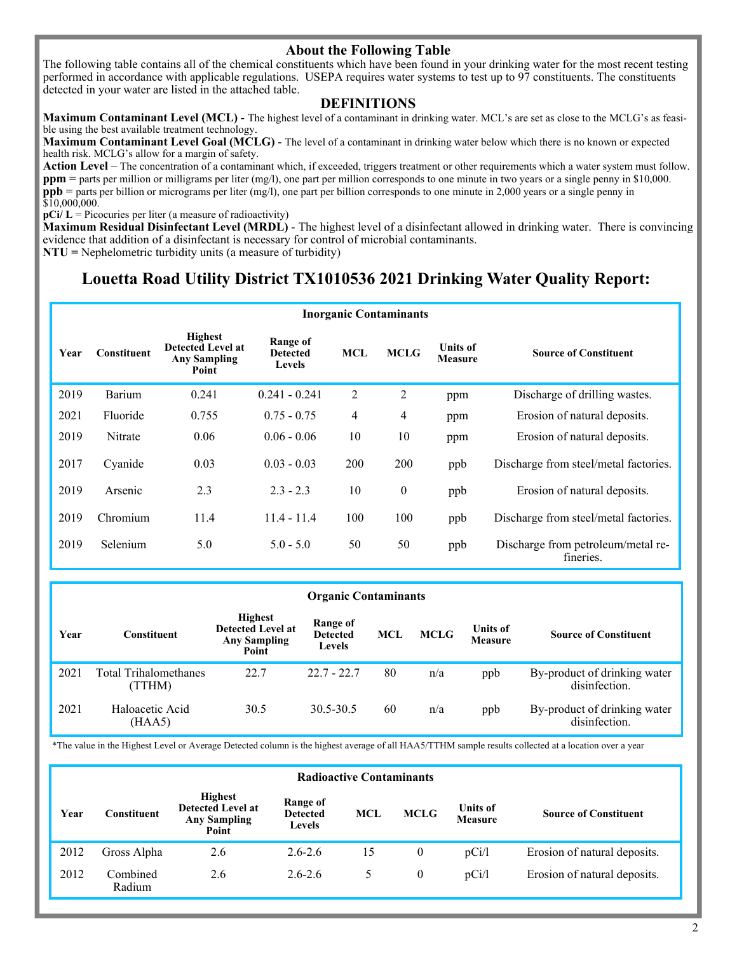# **About the Following Table**

The following table contains all of the chemical constituents which have been found in your drinking water for the most recent testing performed in accordance with applicable regulations. USEPA requires water systems to test up to 97 constituents. The constituents detected in your water are listed in the attached table.

#### **DEFINITIONS**

**Maximum Contaminant Level (MCL)** - The highest level of a contaminant in drinking water. MCL's are set as close to the MCLG's as feasible using the best available treatment technology.

**Maximum Contaminant Level Goal (MCLG)** - The level of a contaminant in drinking water below which there is no known or expected health risk. MCLG's allow for a margin of safety.

**Action Level** – The concentration of a contaminant which, if exceeded, triggers treatment or other requirements which a water system must follow. **ppm** = parts per million or milligrams per liter (mg/l), one part per million corresponds to one minute in two years or a single penny in \$10,000. **ppb** = parts per billion or micrograms per liter (mg/l), one part per billion corresponds to one minute in 2,000 years or a single penny in \$10,000,000.

 $pCi/L = Picocuries per liter (a measure of radioactivity)$ 

**Maximum Residual Disinfectant Level (MRDL)** - The highest level of a disinfectant allowed in drinking water. There is convincing evidence that addition of a disinfectant is necessary for control of microbial contaminants.

**NTU =** Nephelometric turbidity units (a measure of turbidity)

# **Louetta Road Utility District TX1010536 2021 Drinking Water Quality Report:**

|      | <b>Inorganic Contaminants</b> |                                                                            |                                              |            |                |                                   |                                                 |  |  |  |
|------|-------------------------------|----------------------------------------------------------------------------|----------------------------------------------|------------|----------------|-----------------------------------|-------------------------------------------------|--|--|--|
| Year | Constituent                   | <b>Highest</b><br><b>Detected Level at</b><br><b>Any Sampling</b><br>Point | Range of<br><b>Detected</b><br><b>Levels</b> | <b>MCL</b> | <b>MCLG</b>    | <b>Units of</b><br><b>Measure</b> | <b>Source of Constituent</b>                    |  |  |  |
| 2019 | Barium                        | 0.241                                                                      | $0.241 - 0.241$                              | 2          | $\overline{2}$ | ppm                               | Discharge of drilling wastes.                   |  |  |  |
| 2021 | Fluoride                      | 0.755                                                                      | $0.75 - 0.75$                                | 4          | 4              | ppm                               | Erosion of natural deposits.                    |  |  |  |
| 2019 | Nitrate                       | 0.06                                                                       | $0.06 - 0.06$                                | 10         | 10             | ppm                               | Erosion of natural deposits.                    |  |  |  |
| 2017 | Cyanide                       | 0.03                                                                       | $0.03 - 0.03$                                | 200        | 200            | ppb                               | Discharge from steel/metal factories.           |  |  |  |
| 2019 | Arsenic                       | 2.3                                                                        | $2.3 - 2.3$                                  | 10         | $\overline{0}$ | ppb                               | Erosion of natural deposits.                    |  |  |  |
| 2019 | Chromium                      | 11.4                                                                       | $11.4 - 11.4$                                | 100        | 100            | ppb                               | Discharge from steel/metal factories.           |  |  |  |
| 2019 | Selenium                      | 5.0                                                                        | $5.0 - 5.0$                                  | 50         | 50             | ppb                               | Discharge from petroleum/metal re-<br>fineries. |  |  |  |

#### **Organic Contaminants**

| Year | Constituent                            | <b>Highest</b><br><b>Detected Level at</b><br><b>Any Sampling</b><br>Point | Range of<br><b>Detected</b><br>Levels | <b>MCL</b> | <b>MCLG</b> | <b>Units of</b><br><b>Measure</b> | <b>Source of Constituent</b>                  |
|------|----------------------------------------|----------------------------------------------------------------------------|---------------------------------------|------------|-------------|-----------------------------------|-----------------------------------------------|
| 2021 | <b>Total Trihalomethanes</b><br>(TTHM) | 22.7                                                                       | $22.7 - 22.7$                         | 80         | n/a         | ppb                               | By-product of drinking water<br>disinfection. |
| 2021 | Haloacetic Acid<br>(HAA5)              | 30.5                                                                       | 30.5-30.5                             | 60         | n/a         | ppb                               | By-product of drinking water<br>disinfection. |

\*The value in the Highest Level or Average Detected column is the highest average of all HAA5/TTHM sample results collected at a location over a year

|      | <b>Radioactive Contaminants</b> |                                                                            |                                              |            |             |                                   |                              |  |  |  |
|------|---------------------------------|----------------------------------------------------------------------------|----------------------------------------------|------------|-------------|-----------------------------------|------------------------------|--|--|--|
| Year | Constituent                     | <b>Highest</b><br><b>Detected Level at</b><br><b>Any Sampling</b><br>Point | Range of<br><b>Detected</b><br><b>Levels</b> | <b>MCL</b> | <b>MCLG</b> | <b>Units of</b><br><b>Measure</b> | <b>Source of Constituent</b> |  |  |  |
| 2012 | Gross Alpha                     | 2.6                                                                        | $2.6 - 2.6$                                  | 15         | 0           | pCi/l                             | Erosion of natural deposits. |  |  |  |
| 2012 | Combined<br>Radium              | 2.6                                                                        | $2.6 - 2.6$                                  | 5.         | $\theta$    | pCi/l                             | Erosion of natural deposits. |  |  |  |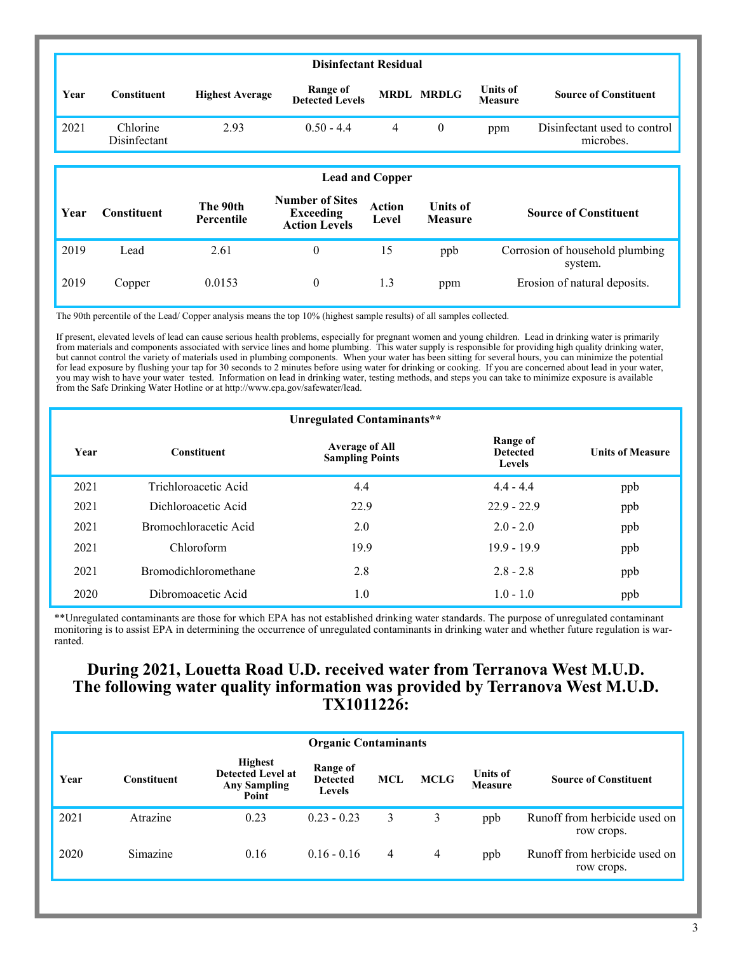|      | <b>Disinfectant Residual</b> |                               |                                                             |                        |                                   |                            |                                           |  |  |
|------|------------------------------|-------------------------------|-------------------------------------------------------------|------------------------|-----------------------------------|----------------------------|-------------------------------------------|--|--|
| Year | Constituent                  | <b>Highest Average</b>        | Range of<br><b>Detected Levels</b>                          | <b>MRDL</b>            | <b>MRDLG</b>                      | <b>Units of</b><br>Measure | <b>Source of Constituent</b>              |  |  |
| 2021 | Chlorine<br>Disinfectant     | 2.93                          | $0.50 - 4.4$                                                | 4                      | $\boldsymbol{0}$                  | ppm                        | Disinfectant used to control<br>microbes. |  |  |
|      |                              |                               |                                                             |                        |                                   |                            |                                           |  |  |
|      |                              |                               |                                                             | <b>Lead and Copper</b> |                                   |                            |                                           |  |  |
| Year | <b>Constituent</b>           | The 90th<br><b>Percentile</b> | <b>Number of Sites</b><br>Exceeding<br><b>Action Levels</b> | Action<br>Level        | <b>Units of</b><br><b>Measure</b> |                            | <b>Source of Constituent</b>              |  |  |
| 2019 | Lead                         | 2.61                          | $\overline{0}$                                              | 15                     | ppb                               |                            | Corrosion of household plumbing           |  |  |

system.

The 90th percentile of the Lead/ Copper analysis means the top 10% (highest sample results) of all samples collected.

If present, elevated levels of lead can cause serious health problems, especially for pregnant women and young children. Lead in drinking water is primarily from materials and components associated with service lines and home plumbing. This water supply is responsible for providing high quality drinking water, but cannot control the variety of materials used in plumbing components. When your water has been sitting for several hours, you can minimize the potential for lead exposure by flushing your tap for 30 seconds to 2 minutes before using water for drinking or cooking. If you are concerned about lead in your water, you may wish to have your water tested. Information on lead in drinking water, testing methods, and steps you can take to minimize exposure is available from the Safe Drinking Water Hotline or at http://www.epa.gov/safewater/lead.

2019 Copper 0.0153 0 1.3 ppm Erosion of natural deposits.

|      |                             | Unregulated Contaminants**                      |                                              |                         |
|------|-----------------------------|-------------------------------------------------|----------------------------------------------|-------------------------|
| Year | <b>Constituent</b>          | <b>Average of All</b><br><b>Sampling Points</b> | Range of<br><b>Detected</b><br><b>Levels</b> | <b>Units of Measure</b> |
| 2021 | Trichloroacetic Acid        | 4.4                                             | $4.4 - 4.4$                                  | ppb                     |
| 2021 | Dichloroacetic Acid         | 22.9                                            | $22.9 - 22.9$                                | ppb                     |
| 2021 | Bromochloracetic Acid       | 2.0                                             | $2.0 - 2.0$                                  | ppb                     |
| 2021 | Chloroform                  | 19.9                                            | $19.9 - 19.9$                                | ppb                     |
| 2021 | <b>Bromodichloromethane</b> | 2.8                                             | $2.8 - 2.8$                                  | ppb                     |
| 2020 | Dibromoacetic Acid          | 1.0                                             | $1.0 - 1.0$                                  | ppb                     |

\*\*Unregulated contaminants are those for which EPA has not established drinking water standards. The purpose of unregulated contaminant monitoring is to assist EPA in determining the occurrence of unregulated contaminants in drinking water and whether future regulation is warranted.

# **During 2021, Louetta Road U.D. received water from Terranova West M.U.D. The following water quality information was provided by Terranova West M.U.D. TX1011226:**

|      | <b>Organic Contaminants</b> |                                                                            |                                              |            |             |                                   |                                             |  |  |  |
|------|-----------------------------|----------------------------------------------------------------------------|----------------------------------------------|------------|-------------|-----------------------------------|---------------------------------------------|--|--|--|
| Year | <b>Constituent</b>          | <b>Highest</b><br><b>Detected Level at</b><br><b>Any Sampling</b><br>Point | Range of<br><b>Detected</b><br><b>Levels</b> | <b>MCL</b> | <b>MCLG</b> | <b>Units of</b><br><b>Measure</b> | <b>Source of Constituent</b>                |  |  |  |
| 2021 | Atrazine                    | 0.23                                                                       | $0.23 - 0.23$                                | 3          | 3           | ppb                               | Runoff from herbicide used on<br>row crops. |  |  |  |
| 2020 | Simazine                    | 0.16                                                                       | $0.16 - 0.16$                                | 4          | 4           | ppb                               | Runoff from herbicide used on<br>row crops. |  |  |  |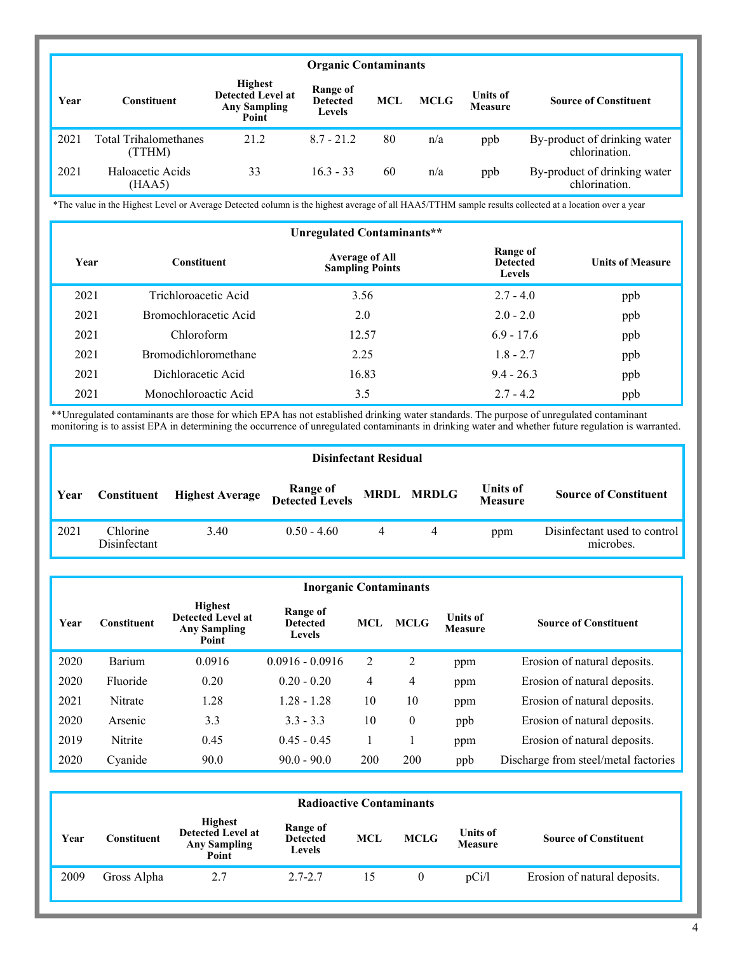|      | <b>Organic Contaminants</b>            |                                                                            |                                              |            |             |                                   |                                               |  |  |  |
|------|----------------------------------------|----------------------------------------------------------------------------|----------------------------------------------|------------|-------------|-----------------------------------|-----------------------------------------------|--|--|--|
| Year | Constituent                            | <b>Highest</b><br><b>Detected Level at</b><br><b>Any Sampling</b><br>Point | Range of<br><b>Detected</b><br><b>Levels</b> | <b>MCL</b> | <b>MCLG</b> | <b>Units of</b><br><b>Measure</b> | <b>Source of Constituent</b>                  |  |  |  |
| 2021 | <b>Total Trihalomethanes</b><br>(TTHM) | 21.2                                                                       | $8.7 - 21.2$                                 | 80         | n/a         | ppb                               | By-product of drinking water<br>chlorination. |  |  |  |
| 2021 | Haloacetic Acids<br>(HAA5)             | 33                                                                         | $16.3 - 33$                                  | 60         | n/a         | ppb                               | By-product of drinking water<br>chlorination. |  |  |  |

\*The value in the Highest Level or Average Detected column is the highest average of all HAA5/TTHM sample results collected at a location over a year

| Unregulated Contaminants** |                             |                                                 |                                              |                         |  |  |  |  |  |
|----------------------------|-----------------------------|-------------------------------------------------|----------------------------------------------|-------------------------|--|--|--|--|--|
| Year                       | <b>Constituent</b>          | <b>Average of All</b><br><b>Sampling Points</b> | Range of<br><b>Detected</b><br><b>Levels</b> | <b>Units of Measure</b> |  |  |  |  |  |
| 2021                       | Trichloroacetic Acid        | 3.56                                            | $2.7 - 4.0$                                  | ppb                     |  |  |  |  |  |
| 2021                       | Bromochloracetic Acid       | 2.0                                             | $2.0 - 2.0$                                  | ppb                     |  |  |  |  |  |
| 2021                       | Chloroform                  | 12.57                                           | $6.9 - 17.6$                                 | ppb                     |  |  |  |  |  |
| 2021                       | <b>Bromodichloromethane</b> | 2.25                                            | $1.8 - 2.7$                                  | ppb                     |  |  |  |  |  |
| 2021                       | Dichloracetic Acid          | 16.83                                           | $9.4 - 26.3$                                 | ppb                     |  |  |  |  |  |
| 2021                       | Monochloroactic Acid        | 3.5                                             | $2.7 - 4.2$                                  | ppb                     |  |  |  |  |  |

\*\*Unregulated contaminants are those for which EPA has not established drinking water standards. The purpose of unregulated contaminant monitoring is to assist EPA in determining the occurrence of unregulated contaminants in drinking water and whether future regulation is warranted.

|      | <b>Disinfectant Residual</b> |                        |                             |  |            |                                   |                                           |  |  |  |
|------|------------------------------|------------------------|-----------------------------|--|------------|-----------------------------------|-------------------------------------------|--|--|--|
| Year | <b>Constituent</b>           | <b>Highest Average</b> | Range of<br>Detected Levels |  | MRDL MRDLG | <b>Units of</b><br><b>Measure</b> | <b>Source of Constituent</b>              |  |  |  |
| 2021 | Chlorine<br>Disinfectant     | 3.40                   | $0.50 - 4.60$               |  | 4          | ppm                               | Disinfectant used to control<br>microbes. |  |  |  |

|      | <b>Inorganic Contaminants</b> |                                                                            |                                       |     |                |                            |                                      |  |  |  |
|------|-------------------------------|----------------------------------------------------------------------------|---------------------------------------|-----|----------------|----------------------------|--------------------------------------|--|--|--|
| Year | Constituent                   | <b>Highest</b><br><b>Detected Level at</b><br><b>Any Sampling</b><br>Point | Range of<br><b>Detected</b><br>Levels | MCL | <b>MCLG</b>    | <b>Units of</b><br>Measure | <b>Source of Constituent</b>         |  |  |  |
| 2020 | Barium                        | 0.0916                                                                     | $0.0916 - 0.0916$                     | 2   | $\overline{2}$ | ppm                        | Erosion of natural deposits.         |  |  |  |
| 2020 | Fluoride                      | 0.20                                                                       | $0.20 - 0.20$                         | 4   | 4              | ppm                        | Erosion of natural deposits.         |  |  |  |
| 2021 | Nitrate                       | 1.28                                                                       | $1.28 - 1.28$                         | 10  | 10             | ppm                        | Erosion of natural deposits.         |  |  |  |
| 2020 | Arsenic                       | 3.3                                                                        | $3.3 - 3.3$                           | 10  | $\mathbf{0}$   | ppb                        | Erosion of natural deposits.         |  |  |  |
| 2019 | Nitrite                       | 0.45                                                                       | $0.45 - 0.45$                         |     |                | ppm                        | Erosion of natural deposits.         |  |  |  |
| 2020 | Cyanide                       | 90.0                                                                       | $90.0 - 90.0$                         | 200 | 200            | ppb                        | Discharge from steel/metal factories |  |  |  |

|      | <b>Radioactive Contaminants</b> |                                                                            |                                              |            |             |                                   |                              |  |  |  |
|------|---------------------------------|----------------------------------------------------------------------------|----------------------------------------------|------------|-------------|-----------------------------------|------------------------------|--|--|--|
| Year | Constituent                     | <b>Highest</b><br><b>Detected Level at</b><br><b>Any Sampling</b><br>Point | Range of<br><b>Detected</b><br><b>Levels</b> | <b>MCL</b> | <b>MCLG</b> | <b>Units of</b><br><b>Measure</b> | <b>Source of Constituent</b> |  |  |  |
| 2009 | Gross Alpha                     | 2.7                                                                        | $2.7 - 2.7$                                  | 15         | 0           | pCi/l                             | Erosion of natural deposits. |  |  |  |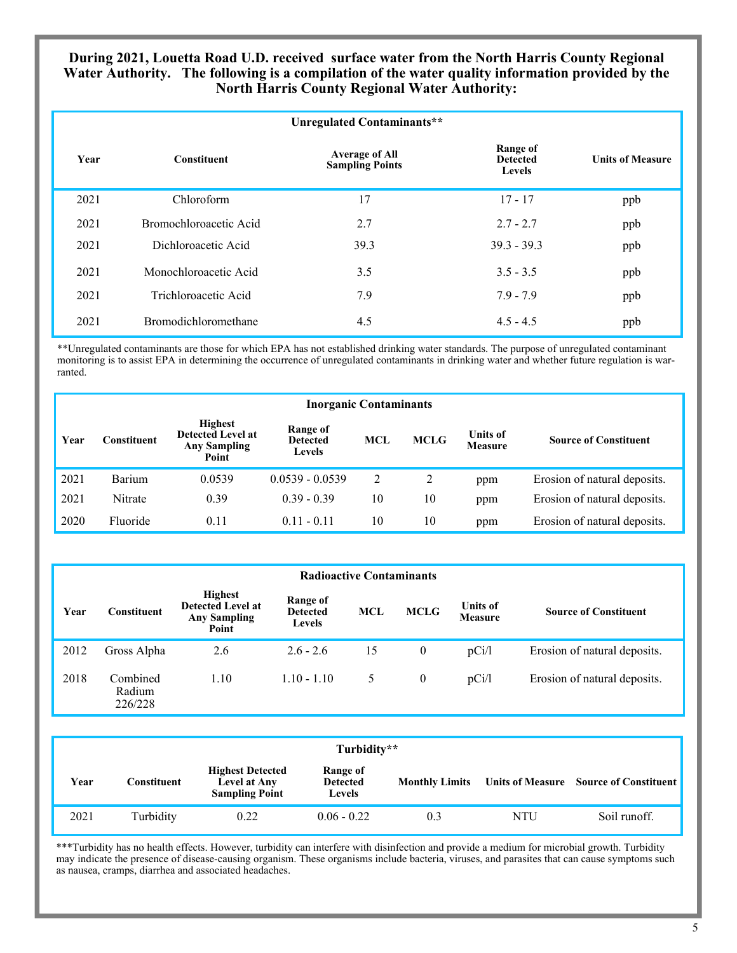#### **During 2021, Louetta Road U.D. received surface water from the North Harris County Regional Water Authority. The following is a compilation of the water quality information provided by the North Harris County Regional Water Authority:**

|      |                        | Unregulated Contaminants**                      |                                       |                         |
|------|------------------------|-------------------------------------------------|---------------------------------------|-------------------------|
| Year | <b>Constituent</b>     | <b>Average of All</b><br><b>Sampling Points</b> | Range of<br><b>Detected</b><br>Levels | <b>Units of Measure</b> |
| 2021 | Chloroform             | 17                                              | $17 - 17$                             | ppb                     |
| 2021 | Bromochloroacetic Acid | 2.7                                             | $2.7 - 2.7$                           | ppb                     |
| 2021 | Dichloroacetic Acid    | 39.3                                            | $39.3 - 39.3$                         | ppb                     |
| 2021 | Monochloroacetic Acid  | 3.5                                             | $3.5 - 3.5$                           | ppb                     |
| 2021 | Trichloroacetic Acid   | 7.9                                             | $7.9 - 7.9$                           | ppb                     |
| 2021 | Bromodichloromethane   | 4.5                                             | $4.5 - 4.5$                           | ppb                     |

\*\*Unregulated contaminants are those for which EPA has not established drinking water standards. The purpose of unregulated contaminant monitoring is to assist EPA in determining the occurrence of unregulated contaminants in drinking water and whether future regulation is warranted.

| <b>Inorganic Contaminants</b> |                    |                                                                                                                            |                   |            |             |                                   |                              |  |  |
|-------------------------------|--------------------|----------------------------------------------------------------------------------------------------------------------------|-------------------|------------|-------------|-----------------------------------|------------------------------|--|--|
| Year                          | <b>Constituent</b> | <b>Highest</b><br>Range of<br><b>Detected Level at</b><br><b>Detected</b><br><b>Any Sampling</b><br><b>Levels</b><br>Point |                   | <b>MCL</b> | <b>MCLG</b> | <b>Units of</b><br><b>Measure</b> | <b>Source of Constituent</b> |  |  |
| 2021                          | Barium             | 0.0539                                                                                                                     | $0.0539 - 0.0539$ | 2          |             | ppm                               | Erosion of natural deposits. |  |  |
| 2021                          | Nitrate            | 0.39                                                                                                                       | $0.39 - 0.39$     | 10         | 10          | ppm                               | Erosion of natural deposits. |  |  |
| 2020                          | Fluoride           | 0.11                                                                                                                       | $0.11 - 0.11$     | 10         | 10          | ppm                               | Erosion of natural deposits. |  |  |

| <b>Radioactive Contaminants</b> |                               |                                                                     |                                              |            |                |                                   |                              |  |  |
|---------------------------------|-------------------------------|---------------------------------------------------------------------|----------------------------------------------|------------|----------------|-----------------------------------|------------------------------|--|--|
| Year                            | <b>Constituent</b>            | <b>Highest</b><br>Detected Level at<br><b>Any Sampling</b><br>Point | Range of<br><b>Detected</b><br><b>Levels</b> | <b>MCL</b> | <b>MCLG</b>    | <b>Units of</b><br><b>Measure</b> | <b>Source of Constituent</b> |  |  |
| 2012                            | Gross Alpha                   | 2.6                                                                 | $2.6 - 2.6$                                  | 15         | $\overline{0}$ | pCi/l                             | Erosion of natural deposits. |  |  |
| 2018                            | Combined<br>Radium<br>226/228 | 1.10                                                                | $1.10 - 1.10$                                | 5          | $\overline{0}$ | pCi/l                             | Erosion of natural deposits. |  |  |

| Turbidity** |             |                                                                  |                                              |                       |     |                                        |  |  |  |
|-------------|-------------|------------------------------------------------------------------|----------------------------------------------|-----------------------|-----|----------------------------------------|--|--|--|
| Year        | Constituent | <b>Highest Detected</b><br>Level at Any<br><b>Sampling Point</b> | Range of<br><b>Detected</b><br><b>Levels</b> | <b>Monthly Limits</b> |     | Units of Measure Source of Constituent |  |  |  |
| 2021        | Turbidity   | 0.22                                                             | $0.06 - 0.22$                                | 0.3                   | NTU | Soil runoff.                           |  |  |  |

\*\*\*Turbidity has no health effects. However, turbidity can interfere with disinfection and provide a medium for microbial growth. Turbidity may indicate the presence of disease-causing organism. These organisms include bacteria, viruses, and parasites that can cause symptoms such as nausea, cramps, diarrhea and associated headaches.